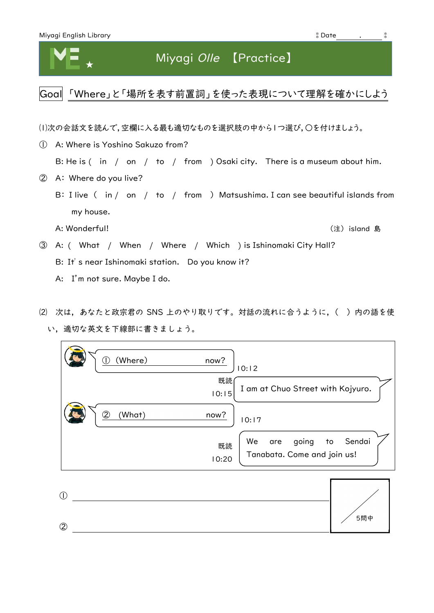## Miyagi Olle 【Practice】

Goal 「Where」と「場所を表す前置詞」を使った表現について理解を確かにしよう

⑴次の会話文を読んで,空欄に入る最も適切なものを選択肢の中から1つ選び,○を付けましょう。

- ① A: Where is Yoshino Sakuzo from? B: He is ( in / on / to / from ) Osaki city. There is a museum about him. ② A: Where do you live?
	- B: I live ( in / on / to / from ) Matsushima. I can see beautiful islands from my house.
		- A: Wonderful! しょうしょう しょうしょう しょうしょう しょうしょう しょうしゅう しょうしゅう しょうしゅう しょうしょう しょうしょう しょうしゃ (注) island 島

- ③ A: ( What / When / Where / Which ) is Ishinomaki City Hall? B: It's near Ishinomaki station. Do you know it?
	- A: I'm not sure. Maybe I do.
- ⑵ 次は,あなたと政宗君の SNS 上のやり取りです。対話の流れに合うように,( )内の語を使 い,適切な英文を下線部に書きましょう。

| (Where)<br>now?<br>10:12                                                         |  |
|----------------------------------------------------------------------------------|--|
| 既読<br>I am at Chuo Street with Kojyuro.<br>10:15                                 |  |
| 2<br>(What)<br>now?<br>10:17                                                     |  |
| We<br>Sendai<br>going<br>to<br>are<br>既読<br>Tanabata. Come and join us!<br>10:20 |  |